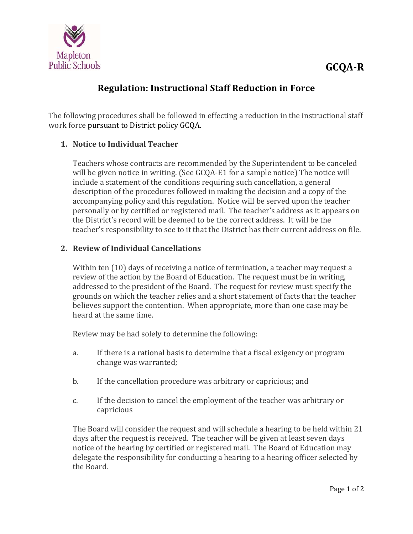

# **Regulation: Instructional Staff Reduction in Force**

The following procedures shall be followed in effecting a reduction in the instructional staff work force pursuant to District policy GCQA.

### **1. Notice to Individual Teacher**

Teachers whose contracts are recommended by the Superintendent to be canceled will be given notice in writing. (See  $GQA$ -E1 for a sample notice) The notice will include a statement of the conditions requiring such cancellation, a general description of the procedures followed in making the decision and a copy of the accompanying policy and this regulation. Notice will be served upon the teacher personally or by certified or registered mail. The teacher's address as it appears on the District's record will be deemed to be the correct address. It will be the teacher's responsibility to see to it that the District has their current address on file.

### **2. Review of Individual Cancellations**

Within ten  $(10)$  days of receiving a notice of termination, a teacher may request a review of the action by the Board of Education. The request must be in writing, addressed to the president of the Board. The request for review must specify the grounds on which the teacher relies and a short statement of facts that the teacher believes support the contention. When appropriate, more than one case may be heard at the same time.

Review may be had solely to determine the following:

- a. If there is a rational basis to determine that a fiscal exigency or program change was warranted;
- b. If the cancellation procedure was arbitrary or capricious; and
- c. If the decision to cancel the employment of the teacher was arbitrary or capricious

The Board will consider the request and will schedule a hearing to be held within 21 days after the request is received. The teacher will be given at least seven days notice of the hearing by certified or registered mail. The Board of Education may delegate the responsibility for conducting a hearing to a hearing officer selected by the Board.